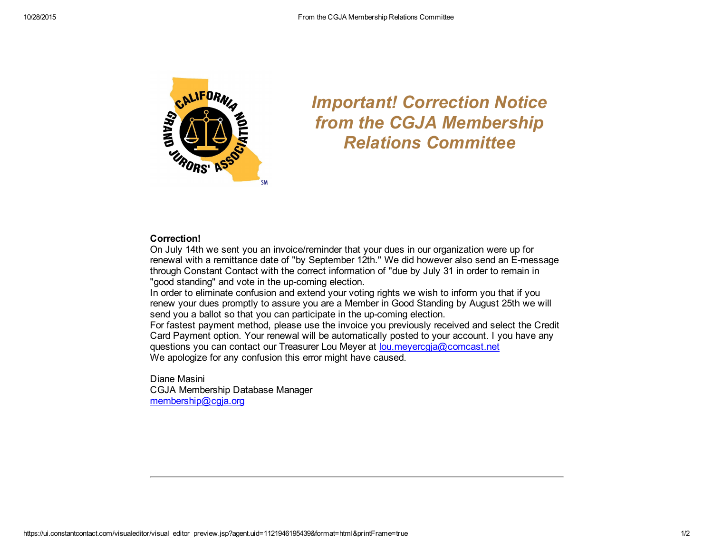

## *Important! Correction Notice from the CGJA Membership Relations Committee*

## Correction!

On July 14th we sent you an invoice/reminder that your dues in our organization were up for renewal with a remittance date of "by September 12th." We did however also send an E-message through Constant Contact with the correct information of "due by July 31 in order to remain in "good standing" and vote in the up-coming election.

In order to eliminate confusion and extend your voting rights we wish to inform you that if you renew your dues promptly to assure you are a Member in Good Standing by August 25th we will send you a ballot so that you can participate in the up-coming election.

For fastest payment method, please use the invoice you previously received and select the Credit Card Payment option. Your renewal will be automatically posted to your account. I you have any questions you can contact our Treasurer Lou Meyer at [lou.meyercgja@comcast.net](mailto:lou.meyercgja@comcast.net) We apologize for any confusion this error might have caused.

Diane Masini CGJA Membership Database Manager [membership@cgja.org](mailto:membership@cgja.org)